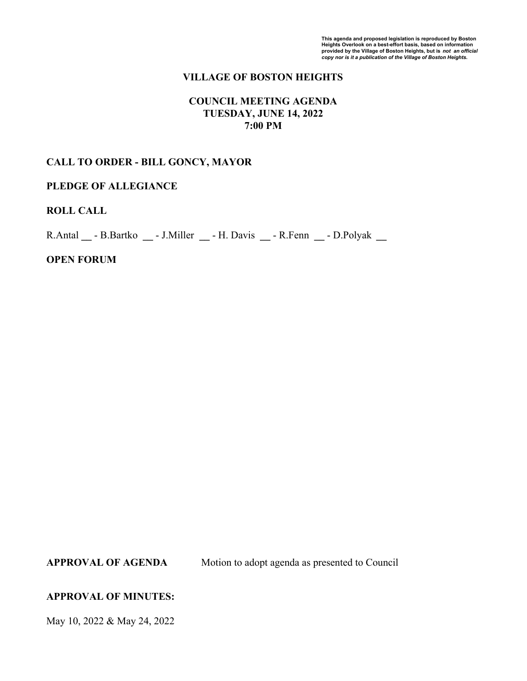# **VILLAGE OF BOSTON HEIGHTS**

## **COUNCIL MEETING AGENDA TUESDAY, JUNE 14, 2022 7:00 PM**

### **CALL TO ORDER - BILL GONCY, MAYOR**

### **PLEDGE OF ALLEGIANCE**

## **ROLL CALL**

R.Antal **\_\_** - B.Bartko **\_\_** - J.Miller **\_\_** - H. Davis **\_\_** - R.Fenn **\_\_** - D.Polyak **\_\_**

#### **OPEN FORUM**

**APPROVAL OF AGENDA** Motion to adopt agenda as presented to Council

### **APPROVAL OF MINUTES:**

May 10, 2022 & May 24, 2022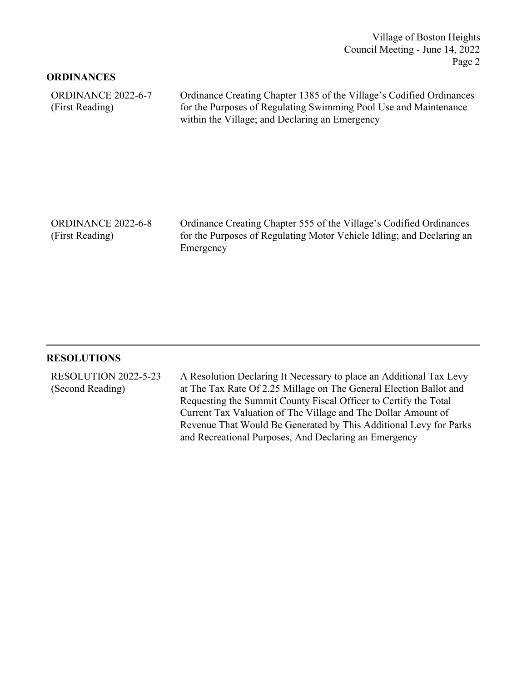Village of Boston Heights Council Meeting - June 14, 2022 Page 2

### **ORDINANCES**

| ORDINANCE 2022-6-7 | Ordinance Creating Chapter 1385 of the Village's Codified Ordinances |
|--------------------|----------------------------------------------------------------------|
| (First Reading)    | for the Purposes of Regulating Swimming Pool Use and Maintenance     |
|                    | within the Village; and Declaring an Emergency                       |

Ordinance Creating Chapter 555 of the Village's Codified Ordinances for the Purposes of Regulating Motor Vehicle Idling; and Declaring an Emergency ORDINANCE 2022-6-8

#### **RESOLUTIONS**

(First Reading)

A Resolution Declaring It Necessary to place an Additional Tax Levy at The Tax Rate Of 2.25 Millage on The General Election Ballot and Requesting the Summit County Fiscal Officer to Certify the Total Current Tax Valuation of The Village and The Dollar Amount of Revenue That Would Be Generated by This Additional Levy for Parks and Recreational Purposes, And Declaring an Emergency RESOLUTION 2022-5-23 (Second Reading)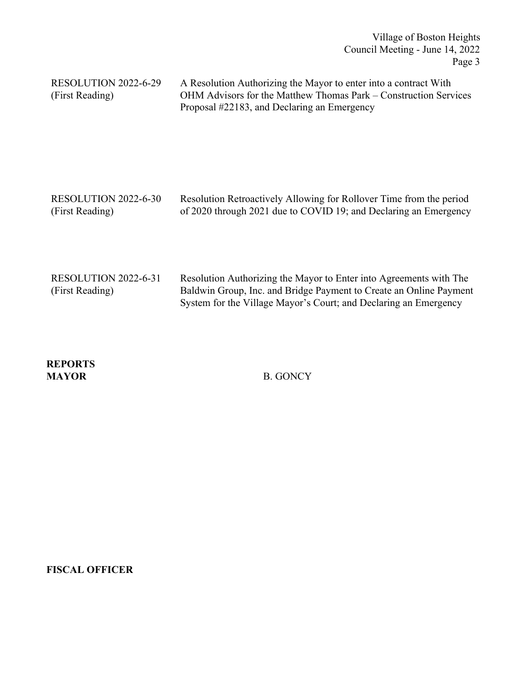Village of Boston Heights Council Meeting - June 14, 2022 Page 3

| RESOLUTION 2022-6-29<br>(First Reading) | A Resolution Authorizing the Mayor to enter into a contract With<br>OHM Advisors for the Matthew Thomas Park – Construction Services<br>Proposal #22183, and Declaring an Emergency |
|-----------------------------------------|-------------------------------------------------------------------------------------------------------------------------------------------------------------------------------------|
| RESOLUTION 2022-6-30                    | Resolution Retroactively Allowing for Rollover Time from the period                                                                                                                 |
| (First Reading)                         | of 2020 through 2021 due to COVID 19; and Declaring an Emergency                                                                                                                    |

| RESOLUTION 2022-6-31 | Resolution Authorizing the Mayor to Enter into Agreements with The |
|----------------------|--------------------------------------------------------------------|
| (First Reading)      | Baldwin Group, Inc. and Bridge Payment to Create an Online Payment |
|                      | System for the Village Mayor's Court; and Declaring an Emergency   |

**REPORTS MAYOR** B. GONCY

**FISCAL OFFICER**